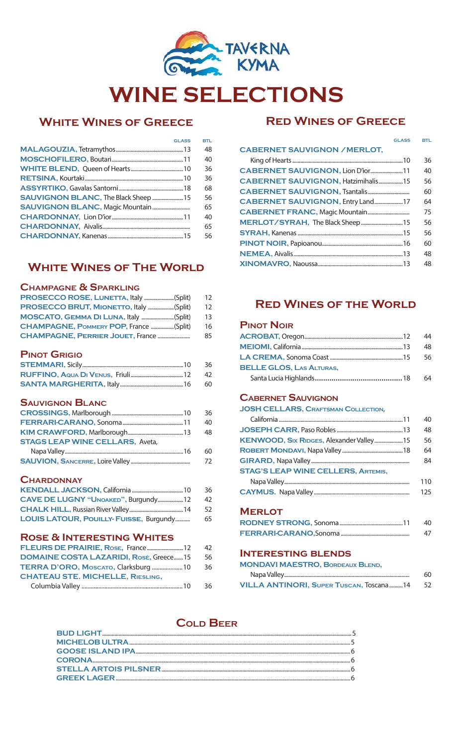

# **White Wines of Greece**

| <b>GLASS</b>                                | <b>BTL</b> |
|---------------------------------------------|------------|
|                                             | 48         |
|                                             | 40         |
|                                             | 36         |
|                                             | 36         |
|                                             | 68         |
| <b>SAUVIGNON BLANC, The Black Sheep  15</b> | 56         |
| <b>SAUVIGNON BLANC, Magic Mountain</b>      | 65         |
|                                             | 40         |
|                                             | 65         |
|                                             | 56         |
|                                             |            |

# **WHITE WINES OF THE WORLD**

# **Champagne & Sparkling**

| PROSECCO ROSE, LUNETTA, Italy (Split)    | 12 |
|------------------------------------------|----|
| PROSECCO BRUT, MIONETTO, Italy (Split)   | 12 |
| MOSCATO, GEMMA DI LUNA, Italy (Split)    | 13 |
| CHAMPAGNE, POMMERY POP, France (Split)   | 16 |
| <b>CHAMPAGNE, PERRIER JOUET, France </b> | 85 |
| <b>PINOT GRIGIO</b>                      |    |
|                                          | 36 |
|                                          | 42 |
|                                          | 60 |
| <b>SAUVIGNON BLANC</b>                   |    |
|                                          | 36 |
|                                          | 40 |
|                                          | 48 |
| <b>STAGS LEAP WINE CELLARS, Aveta,</b>   |    |
|                                          | 60 |
|                                          | 72 |
|                                          |    |

# **Chardonnay**

|                                         | 36   |
|-----------------------------------------|------|
| CAVE DE LUGNY "UNOAKED", Burgundy12     | - 42 |
|                                         |      |
| LOUIS LATOUR, POUILLY- FUISSE, Burgundy | 65   |

# **Rose & Interesting Whites**

|                                               | -42 |
|-----------------------------------------------|-----|
| <b>DOMAINE COSTA LAZARIDI, Rosè, Greece15</b> | 56  |
| TERRA D'ORO, Moscato, Clarksburg  10          | 36  |
| <b>CHATEAU STE, MICHELLE, RIESLING,</b>       |     |
|                                               | 36  |

# **Red Wines of Greece**

| <b>GLASS</b>                              | <b>BTL</b> |
|-------------------------------------------|------------|
| <b>CABERNET SAUVIGNON / MERLOT,</b>       |            |
|                                           | 36         |
| CABERNET SAUVIGNON, Lion D'ior11          | 40         |
| <b>CABERNET SAUVIGNON, Hatzimihalis15</b> | 56         |
|                                           | 60         |
| CABERNET SAUVIGNON, Entry Land17          | 64         |
|                                           | 75         |
|                                           | 56         |
|                                           | 56         |
|                                           | 60         |
|                                           | 48         |
|                                           | 48         |

# **Red Wines of the World**

# **Pinot Noir**

|                                 | 44  |
|---------------------------------|-----|
|                                 | 48. |
|                                 | -56 |
| <b>BELLE GLOS, LAS ALTURAS,</b> |     |
|                                 | 64  |

## **Cabernet Sauvignon**

**JOSH CELLARS, Craftsman Collection**, California............................................................................................11 40 **JOSEPH CARR,** Paso Robles.................................................13 48 **KENWOOD, SIX RIDGES, Alexander Valley....................15 56 Robert Mondavi,** Napa Valley.............................................18 64 **GIRARD,** Napa Valley......................................................................... <sup>84</sup> **STAG'S LEAP WINE CELLERS, Artemis,**  Napa Valley............................................................................................. 110 **CAYMUS.** Napa Valley....................................................................... 125

**Merlot**

| -40 |
|-----|
| 47  |

#### **Interesting blends**

**MONDAVI MAESTRO, Bordeaux Blend,** 

|                                          | 60   |
|------------------------------------------|------|
| VILLA ANTINORI, SUPER TUSCAN, TOSCANA 14 | - 52 |

# **Cold Beer**